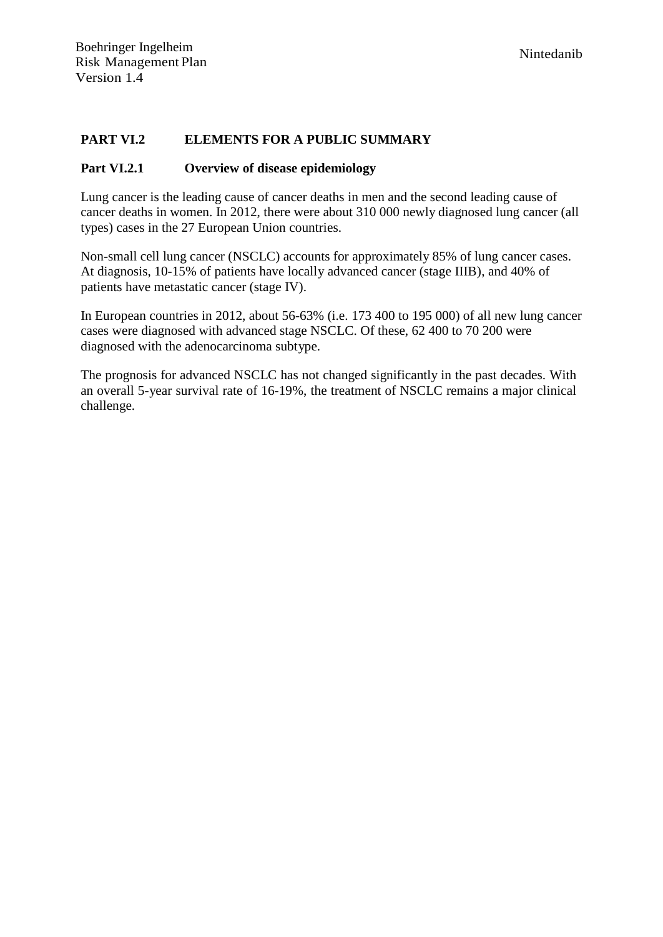#### **PART VI.2 ELEMENTS FOR A PUBLIC SUMMARY**

#### **Part VI.2.1 Overview of disease epidemiology**

Lung cancer is the leading cause of cancer deaths in men and the second leading cause of cancer deaths in women. In 2012, there were about 310 000 newly diagnosed lung cancer (all types) cases in the 27 European Union countries.

Non-small cell lung cancer (NSCLC) accounts for approximately 85% of lung cancer cases. At diagnosis, 10-15% of patients have locally advanced cancer (stage IIIB), and 40% of patients have metastatic cancer (stage IV).

In European countries in 2012, about 56-63% (i.e. 173 400 to 195 000) of all new lung cancer cases were diagnosed with advanced stage NSCLC. Of these, 62 400 to 70 200 were diagnosed with the adenocarcinoma subtype.

The prognosis for advanced NSCLC has not changed significantly in the past decades. With an overall 5-year survival rate of 16-19%, the treatment of NSCLC remains a major clinical challenge.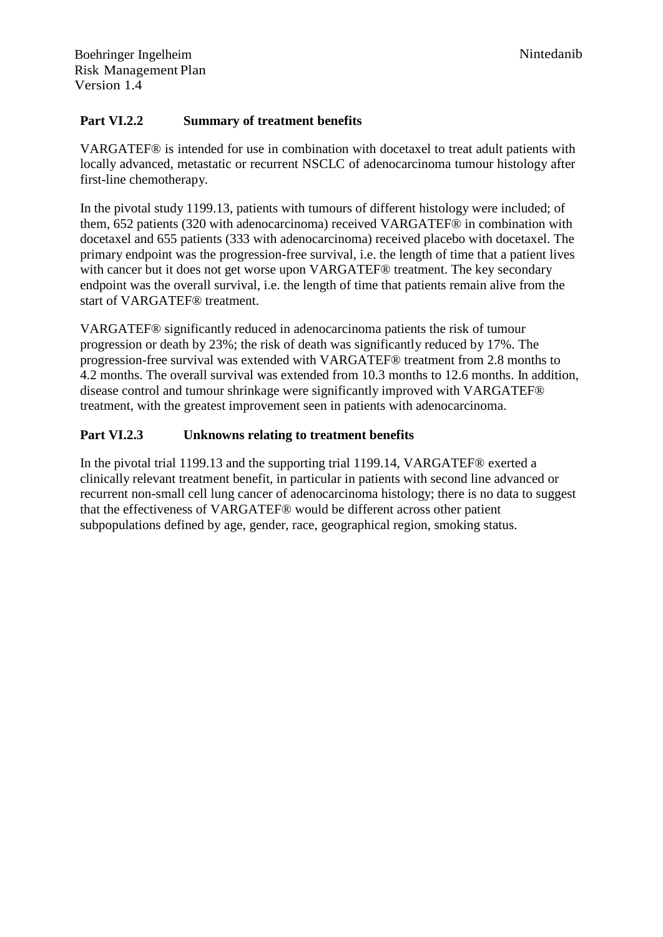#### **Part VI.2.2 Summary of treatment benefits**

VARGATEF® is intended for use in combination with docetaxel to treat adult patients with locally advanced, metastatic or recurrent NSCLC of adenocarcinoma tumour histology after first-line chemotherapy.

In the pivotal study 1199.13, patients with tumours of different histology were included; of them, 652 patients (320 with adenocarcinoma) received VARGATEF® in combination with docetaxel and 655 patients (333 with adenocarcinoma) received placebo with docetaxel. The primary endpoint was the progression-free survival, i.e. the length of time that a patient lives with cancer but it does not get worse upon VARGATEF® treatment. The key secondary endpoint was the overall survival, i.e. the length of time that patients remain alive from the start of VARGATEF® treatment.

VARGATEF® significantly reduced in adenocarcinoma patients the risk of tumour progression or death by 23%; the risk of death was significantly reduced by 17%. The progression-free survival was extended with VARGATEF® treatment from 2.8 months to 4.2 months. The overall survival was extended from 10.3 months to 12.6 months. In addition, disease control and tumour shrinkage were significantly improved with VARGATEF® treatment, with the greatest improvement seen in patients with adenocarcinoma.

#### **Part VI.2.3 Unknowns relating to treatment benefits**

In the pivotal trial 1199.13 and the supporting trial 1199.14, VARGATEF® exerted a clinically relevant treatment benefit, in particular in patients with second line advanced or recurrent non-small cell lung cancer of adenocarcinoma histology; there is no data to suggest that the effectiveness of VARGATEF® would be different across other patient subpopulations defined by age, gender, race, geographical region, smoking status.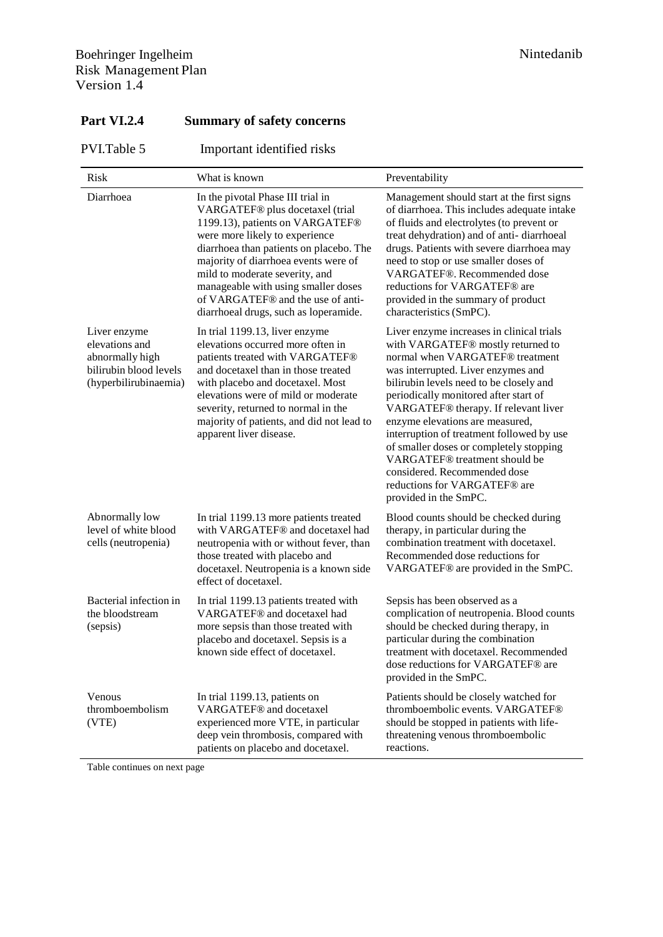| Risk                                                                                                 | What is known                                                                                                                                                                                                                                                                                                                                                                       | Preventability                                                                                                                                                                                                                                                                                                                                                                                                                                                                                                                           |
|------------------------------------------------------------------------------------------------------|-------------------------------------------------------------------------------------------------------------------------------------------------------------------------------------------------------------------------------------------------------------------------------------------------------------------------------------------------------------------------------------|------------------------------------------------------------------------------------------------------------------------------------------------------------------------------------------------------------------------------------------------------------------------------------------------------------------------------------------------------------------------------------------------------------------------------------------------------------------------------------------------------------------------------------------|
| Diarrhoea                                                                                            | In the pivotal Phase III trial in<br>VARGATEF® plus docetaxel (trial<br>1199.13), patients on VARGATEF®<br>were more likely to experience<br>diarrhoea than patients on placebo. The<br>majority of diarrhoea events were of<br>mild to moderate severity, and<br>manageable with using smaller doses<br>of VARGATEF® and the use of anti-<br>diarrhoeal drugs, such as loperamide. | Management should start at the first signs<br>of diarrhoea. This includes adequate intake<br>of fluids and electrolytes (to prevent or<br>treat dehydration) and of anti-diarrhoeal<br>drugs. Patients with severe diarrhoea may<br>need to stop or use smaller doses of<br>VARGATEF®. Recommended dose<br>reductions for VARGATEF® are<br>provided in the summary of product<br>characteristics (SmPC).                                                                                                                                 |
| Liver enzyme<br>elevations and<br>abnormally high<br>bilirubin blood levels<br>(hyperbilirubinaemia) | In trial 1199.13, liver enzyme<br>elevations occurred more often in<br>patients treated with VARGATEF®<br>and docetaxel than in those treated<br>with placebo and docetaxel. Most<br>elevations were of mild or moderate<br>severity, returned to normal in the<br>majority of patients, and did not lead to<br>apparent liver disease.                                             | Liver enzyme increases in clinical trials<br>with VARGATEF® mostly returned to<br>normal when VARGATEF® treatment<br>was interrupted. Liver enzymes and<br>bilirubin levels need to be closely and<br>periodically monitored after start of<br>VARGATEF® therapy. If relevant liver<br>enzyme elevations are measured,<br>interruption of treatment followed by use<br>of smaller doses or completely stopping<br>VARGATEF® treatment should be<br>considered. Recommended dose<br>reductions for VARGATEF® are<br>provided in the SmPC. |
| Abnormally low<br>level of white blood<br>cells (neutropenia)                                        | In trial 1199.13 more patients treated<br>with VARGATEF® and docetaxel had<br>neutropenia with or without fever, than<br>those treated with placebo and<br>docetaxel. Neutropenia is a known side<br>effect of docetaxel.                                                                                                                                                           | Blood counts should be checked during<br>therapy, in particular during the<br>combination treatment with docetaxel.<br>Recommended dose reductions for<br>VARGATEF® are provided in the SmPC.                                                                                                                                                                                                                                                                                                                                            |
| Bacterial infection in<br>the bloodstream<br>(sepsis)                                                | In trial 1199.13 patients treated with<br>VARGATEF® and docetaxel had<br>more sepsis than those treated with<br>placebo and docetaxel. Sepsis is a<br>known side effect of docetaxel.                                                                                                                                                                                               | Sepsis has been observed as a<br>complication of neutropenia. Blood counts<br>should be checked during therapy, in<br>particular during the combination<br>treatment with docetaxel. Recommended<br>dose reductions for VARGATEF® are<br>provided in the SmPC.                                                                                                                                                                                                                                                                           |
| Venous<br>thromboembolism<br>(VTE)                                                                   | In trial 1199.13, patients on<br>VARGATEF® and docetaxel<br>experienced more VTE, in particular<br>deep vein thrombosis, compared with<br>patients on placebo and docetaxel.                                                                                                                                                                                                        | Patients should be closely watched for<br>thromboembolic events. VARGATEF®<br>should be stopped in patients with life-<br>threatening venous thromboembolic<br>reactions.                                                                                                                                                                                                                                                                                                                                                                |

# **Part VI.2.4 Summary of safety concerns**

Table continues on next page

PVI.Table 5 Important identified risks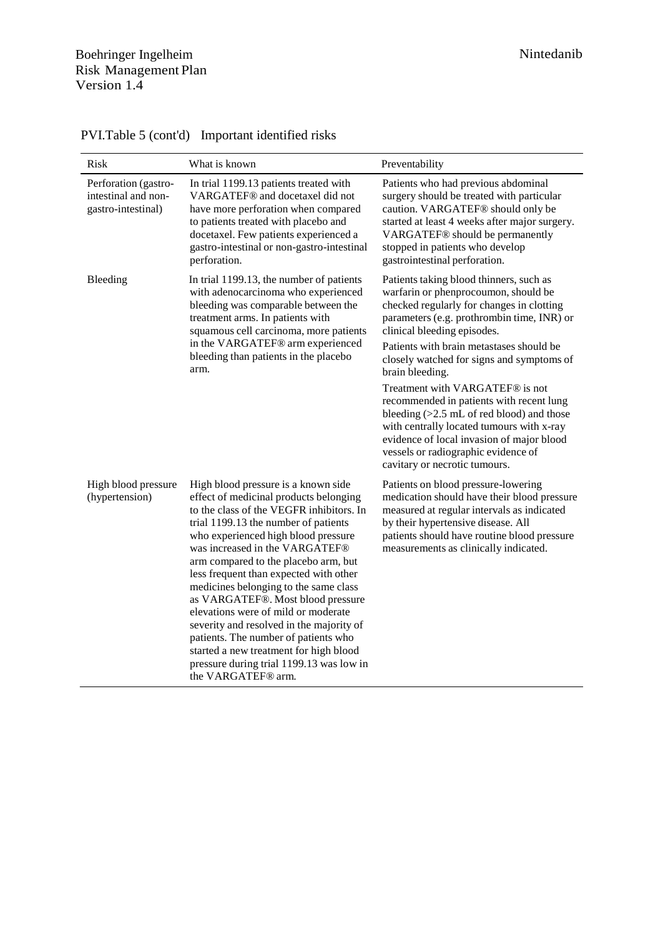| Risk                                                              | What is known                                                                                                                                                                                                                                                                                                                                                                                                                                                                                                                                                                                                                                     | Preventability                                                                                                                                                                                                                                                                                                                                                                                                                                                                                                                                                                                                        |
|-------------------------------------------------------------------|---------------------------------------------------------------------------------------------------------------------------------------------------------------------------------------------------------------------------------------------------------------------------------------------------------------------------------------------------------------------------------------------------------------------------------------------------------------------------------------------------------------------------------------------------------------------------------------------------------------------------------------------------|-----------------------------------------------------------------------------------------------------------------------------------------------------------------------------------------------------------------------------------------------------------------------------------------------------------------------------------------------------------------------------------------------------------------------------------------------------------------------------------------------------------------------------------------------------------------------------------------------------------------------|
| Perforation (gastro-<br>intestinal and non-<br>gastro-intestinal) | In trial 1199.13 patients treated with<br>VARGATEF® and docetaxel did not<br>have more perforation when compared<br>to patients treated with placebo and<br>docetaxel. Few patients experienced a<br>gastro-intestinal or non-gastro-intestinal<br>perforation.                                                                                                                                                                                                                                                                                                                                                                                   | Patients who had previous abdominal<br>surgery should be treated with particular<br>caution. VARGATEF® should only be<br>started at least 4 weeks after major surgery.<br>VARGATEF® should be permanently<br>stopped in patients who develop<br>gastrointestinal perforation.                                                                                                                                                                                                                                                                                                                                         |
| Bleeding                                                          | In trial 1199.13, the number of patients<br>with adenocarcinoma who experienced<br>bleeding was comparable between the<br>treatment arms. In patients with<br>squamous cell carcinoma, more patients<br>in the VARGATEF® arm experienced<br>bleeding than patients in the placebo<br>arm.                                                                                                                                                                                                                                                                                                                                                         | Patients taking blood thinners, such as<br>warfarin or phenprocoumon, should be<br>checked regularly for changes in clotting<br>parameters (e.g. prothrombin time, INR) or<br>clinical bleeding episodes.<br>Patients with brain metastases should be<br>closely watched for signs and symptoms of<br>brain bleeding.<br>Treatment with VARGATEF® is not<br>recommended in patients with recent lung<br>bleeding $(>2.5$ mL of red blood) and those<br>with centrally located tumours with x-ray<br>evidence of local invasion of major blood<br>vessels or radiographic evidence of<br>cavitary or necrotic tumours. |
| High blood pressure<br>(hypertension)                             | High blood pressure is a known side<br>effect of medicinal products belonging<br>to the class of the VEGFR inhibitors. In<br>trial 1199.13 the number of patients<br>who experienced high blood pressure<br>was increased in the VARGATEF®<br>arm compared to the placebo arm, but<br>less frequent than expected with other<br>medicines belonging to the same class<br>as VARGATEF®. Most blood pressure<br>elevations were of mild or moderate<br>severity and resolved in the majority of<br>patients. The number of patients who<br>started a new treatment for high blood<br>pressure during trial 1199.13 was low in<br>the VARGATEF® arm. | Patients on blood pressure-lowering<br>medication should have their blood pressure<br>measured at regular intervals as indicated<br>by their hypertensive disease. All<br>patients should have routine blood pressure<br>measurements as clinically indicated.                                                                                                                                                                                                                                                                                                                                                        |

PVI.Table 5 (cont'd) Important identified risks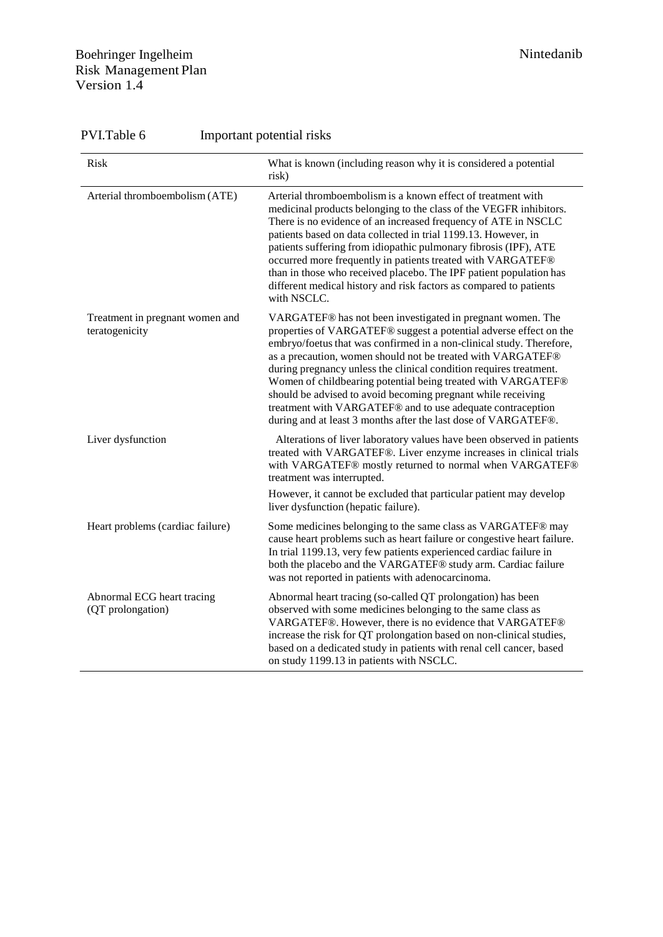### Boehringer Ingelheim Nintedanib Risk Management Plan Version 1.4

| PVI.Table 6                                       | Important potential risks                                                                                                                                                                                                                                                                                                                                                                                                                                                                                                                                                                                    |  |  |
|---------------------------------------------------|--------------------------------------------------------------------------------------------------------------------------------------------------------------------------------------------------------------------------------------------------------------------------------------------------------------------------------------------------------------------------------------------------------------------------------------------------------------------------------------------------------------------------------------------------------------------------------------------------------------|--|--|
| Risk                                              | What is known (including reason why it is considered a potential<br>risk)                                                                                                                                                                                                                                                                                                                                                                                                                                                                                                                                    |  |  |
| Arterial thromboembolism (ATE)                    | Arterial thromboembolism is a known effect of treatment with<br>medicinal products belonging to the class of the VEGFR inhibitors.<br>There is no evidence of an increased frequency of ATE in NSCLC<br>patients based on data collected in trial 1199.13. However, in<br>patients suffering from idiopathic pulmonary fibrosis (IPF), ATE<br>occurred more frequently in patients treated with VARGATEF®<br>than in those who received placebo. The IPF patient population has<br>different medical history and risk factors as compared to patients<br>with NSCLC.                                         |  |  |
| Treatment in pregnant women and<br>teratogenicity | VARGATEF® has not been investigated in pregnant women. The<br>properties of VARGATEF® suggest a potential adverse effect on the<br>embryo/foetus that was confirmed in a non-clinical study. Therefore,<br>as a precaution, women should not be treated with VARGATEF®<br>during pregnancy unless the clinical condition requires treatment.<br>Women of childbearing potential being treated with VARGATEF®<br>should be advised to avoid becoming pregnant while receiving<br>treatment with VARGATEF® and to use adequate contraception<br>during and at least 3 months after the last dose of VARGATEF®. |  |  |
| Liver dysfunction                                 | Alterations of liver laboratory values have been observed in patients<br>treated with VARGATEF®. Liver enzyme increases in clinical trials<br>with VARGATEF® mostly returned to normal when VARGATEF®<br>treatment was interrupted.                                                                                                                                                                                                                                                                                                                                                                          |  |  |
|                                                   | However, it cannot be excluded that particular patient may develop<br>liver dysfunction (hepatic failure).                                                                                                                                                                                                                                                                                                                                                                                                                                                                                                   |  |  |
| Heart problems (cardiac failure)                  | Some medicines belonging to the same class as VARGATEF® may<br>cause heart problems such as heart failure or congestive heart failure.<br>In trial 1199.13, very few patients experienced cardiac failure in<br>both the placebo and the VARGATEF® study arm. Cardiac failure<br>was not reported in patients with adenocarcinoma.                                                                                                                                                                                                                                                                           |  |  |
| Abnormal ECG heart tracing<br>(QT prolongation)   | Abnormal heart tracing (so-called QT prolongation) has been<br>observed with some medicines belonging to the same class as<br>VARGATEF®. However, there is no evidence that VARGATEF®<br>increase the risk for QT prolongation based on non-clinical studies,<br>based on a dedicated study in patients with renal cell cancer, based<br>on study 1199.13 in patients with NSCLC.                                                                                                                                                                                                                            |  |  |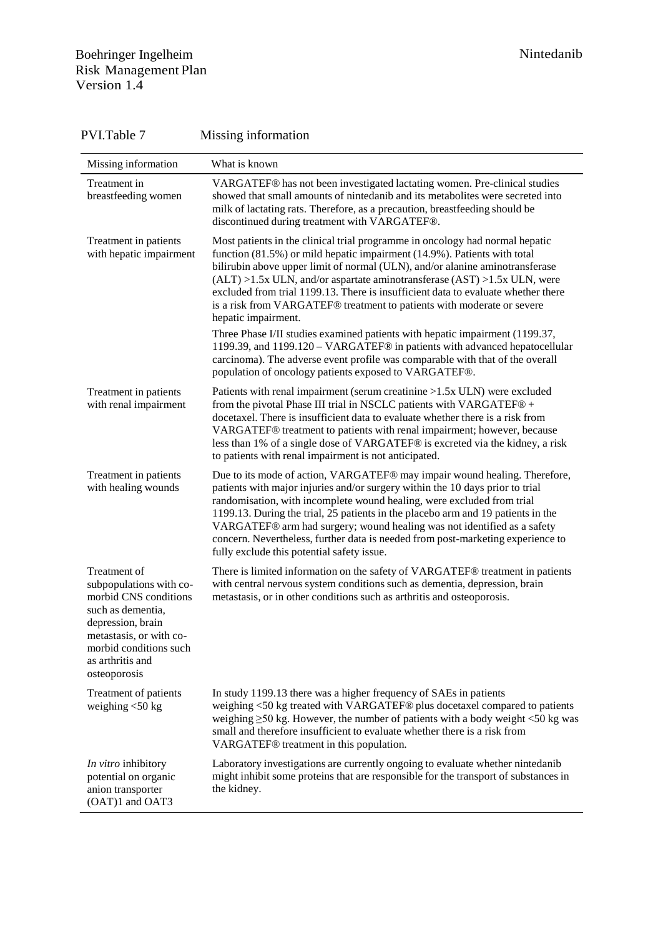### Boehringer Ingelheim Nintedanib Risk Management Plan Version 1.4

| Missing information                                                                                                                                                                                 | What is known                                                                                                                                                                                                                                                                                                                                                                                                                                                                                                                                                                                                                                                                                                                                                                                                            |
|-----------------------------------------------------------------------------------------------------------------------------------------------------------------------------------------------------|--------------------------------------------------------------------------------------------------------------------------------------------------------------------------------------------------------------------------------------------------------------------------------------------------------------------------------------------------------------------------------------------------------------------------------------------------------------------------------------------------------------------------------------------------------------------------------------------------------------------------------------------------------------------------------------------------------------------------------------------------------------------------------------------------------------------------|
| Treatment in<br>breastfeeding women                                                                                                                                                                 | VARGATEF® has not been investigated lactating women. Pre-clinical studies<br>showed that small amounts of nintedanib and its metabolites were secreted into<br>milk of lactating rats. Therefore, as a precaution, breastfeeding should be<br>discontinued during treatment with VARGATEF®.                                                                                                                                                                                                                                                                                                                                                                                                                                                                                                                              |
| Treatment in patients<br>with hepatic impairment                                                                                                                                                    | Most patients in the clinical trial programme in oncology had normal hepatic<br>function (81.5%) or mild hepatic impairment (14.9%). Patients with total<br>bilirubin above upper limit of normal (ULN), and/or alanine aminotransferase<br>$(ALT) > 1.5x$ ULN, and/or aspartate aminotransferase $(AST) > 1.5x$ ULN, were<br>excluded from trial 1199.13. There is insufficient data to evaluate whether there<br>is a risk from VARGATEF® treatment to patients with moderate or severe<br>hepatic impairment.<br>Three Phase I/II studies examined patients with hepatic impairment (1199.37,<br>1199.39, and 1199.120 - VARGATEF® in patients with advanced hepatocellular<br>carcinoma). The adverse event profile was comparable with that of the overall<br>population of oncology patients exposed to VARGATEF®. |
| Treatment in patients<br>with renal impairment                                                                                                                                                      | Patients with renal impairment (serum creatinine >1.5x ULN) were excluded<br>from the pivotal Phase III trial in NSCLC patients with VARGATEF® +<br>docetaxel. There is insufficient data to evaluate whether there is a risk from<br>VARGATEF® treatment to patients with renal impairment; however, because<br>less than 1% of a single dose of VARGATEF® is excreted via the kidney, a risk<br>to patients with renal impairment is not anticipated.                                                                                                                                                                                                                                                                                                                                                                  |
| Treatment in patients<br>with healing wounds                                                                                                                                                        | Due to its mode of action, VARGATEF® may impair wound healing. Therefore,<br>patients with major injuries and/or surgery within the 10 days prior to trial<br>randomisation, with incomplete wound healing, were excluded from trial<br>1199.13. During the trial, 25 patients in the placebo arm and 19 patients in the<br>VARGATEF® arm had surgery; wound healing was not identified as a safety<br>concern. Nevertheless, further data is needed from post-marketing experience to<br>fully exclude this potential safety issue.                                                                                                                                                                                                                                                                                     |
| Treatment of<br>subpopulations with co-<br>morbid CNS conditions<br>such as dementia,<br>depression, brain<br>metastasis, or with co-<br>morbid conditions such<br>as arthritis and<br>osteoporosis | There is limited information on the safety of VARGATEF® treatment in patients<br>with central nervous system conditions such as dementia, depression, brain<br>metastasis, or in other conditions such as arthritis and osteoporosis.                                                                                                                                                                                                                                                                                                                                                                                                                                                                                                                                                                                    |
| Treatment of patients<br>weighing $<$ 50 kg                                                                                                                                                         | In study 1199.13 there was a higher frequency of SAEs in patients<br>weighing <50 kg treated with VARGATEF® plus docetaxel compared to patients<br>weighing $\geq$ 50 kg. However, the number of patients with a body weight <50 kg was<br>small and therefore insufficient to evaluate whether there is a risk from<br>VARGATEF® treatment in this population.                                                                                                                                                                                                                                                                                                                                                                                                                                                          |
| In vitro inhibitory<br>potential on organic<br>anion transporter<br>(OAT)1 and OAT3                                                                                                                 | Laboratory investigations are currently ongoing to evaluate whether nintedanib<br>might inhibit some proteins that are responsible for the transport of substances in<br>the kidney.                                                                                                                                                                                                                                                                                                                                                                                                                                                                                                                                                                                                                                     |

# PVI.Table 7 Missing information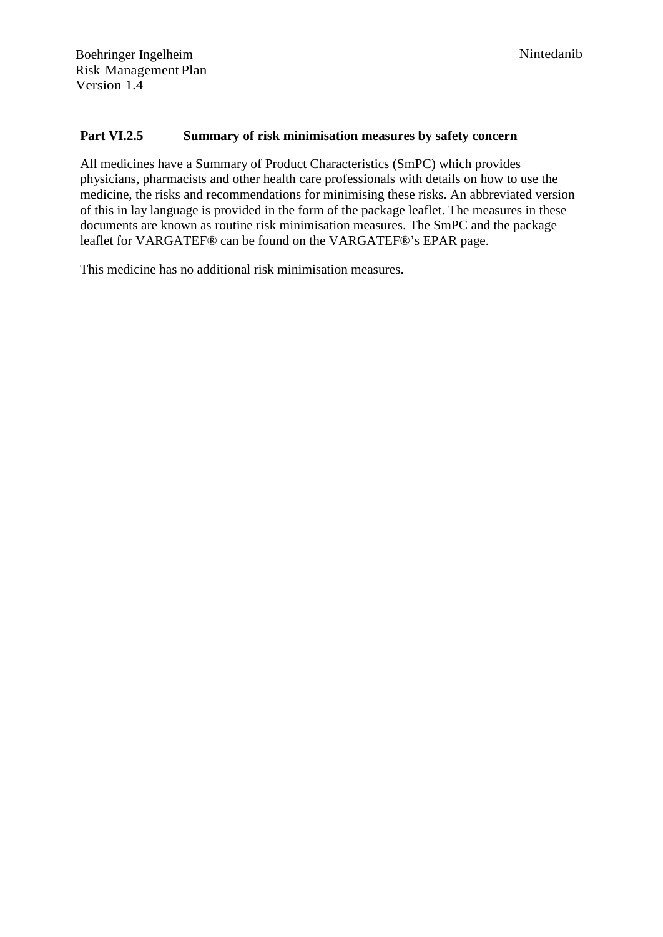#### **Part VI.2.5 Summary of risk minimisation measures by safety concern**

All medicines have a Summary of Product Characteristics (SmPC) which provides physicians, pharmacists and other health care professionals with details on how to use the medicine, the risks and recommendations for minimising these risks. An abbreviated version of this in lay language is provided in the form of the package leaflet. The measures in these documents are known as routine risk minimisation measures. The SmPC and the package leaflet for VARGATEF® can be found on the VARGATEF®'s EPAR page.

This medicine has no additional risk minimisation measures.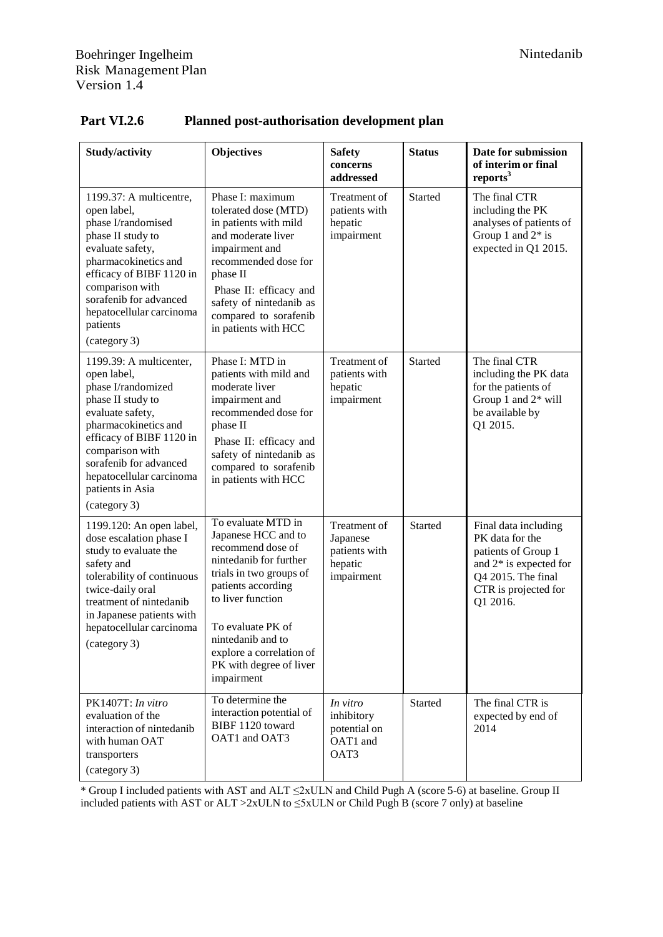| Study/activity                                                                                                                                                                                                                                                         | <b>Objectives</b>                                                                                                                                                                                                                                                             | <b>Safety</b><br>concerns<br>addressed                             | <b>Status</b>  | Date for submission<br>of interim or final<br>reports <sup>3</sup>                                                                                   |
|------------------------------------------------------------------------------------------------------------------------------------------------------------------------------------------------------------------------------------------------------------------------|-------------------------------------------------------------------------------------------------------------------------------------------------------------------------------------------------------------------------------------------------------------------------------|--------------------------------------------------------------------|----------------|------------------------------------------------------------------------------------------------------------------------------------------------------|
| 1199.37: A multicentre,<br>open label,<br>phase I/randomised<br>phase II study to<br>evaluate safety,<br>pharmacokinetics and<br>efficacy of BIBF 1120 in<br>comparison with<br>sorafenib for advanced<br>hepatocellular carcinoma<br>patients<br>(category 3)         | Phase I: maximum<br>tolerated dose (MTD)<br>in patients with mild<br>and moderate liver<br>impairment and<br>recommended dose for<br>phase II<br>Phase II: efficacy and<br>safety of nintedanib as<br>compared to sorafenib<br>in patients with HCC                           | Treatment of<br>patients with<br>hepatic<br>impairment             | Started        | The final CTR<br>including the PK<br>analyses of patients of<br>Group 1 and $2*$ is<br>expected in Q1 2015.                                          |
| 1199.39: A multicenter,<br>open label,<br>phase I/randomized<br>phase II study to<br>evaluate safety,<br>pharmacokinetics and<br>efficacy of BIBF 1120 in<br>comparison with<br>sorafenib for advanced<br>hepatocellular carcinoma<br>patients in Asia<br>(category 3) | Phase I: MTD in<br>patients with mild and<br>moderate liver<br>impairment and<br>recommended dose for<br>phase II<br>Phase II: efficacy and<br>safety of nintedanib as<br>compared to sorafenib<br>in patients with HCC                                                       | Treatment of<br>patients with<br>hepatic<br>impairment             | <b>Started</b> | The final CTR<br>including the PK data<br>for the patients of<br>Group 1 and 2* will<br>be available by<br>Q1 2015.                                  |
| 1199.120: An open label,<br>dose escalation phase I<br>study to evaluate the<br>safety and<br>tolerability of continuous<br>twice-daily oral<br>treatment of nintedanib<br>in Japanese patients with<br>hepatocellular carcinoma<br>(category 3)                       | To evaluate MTD in<br>Japanese HCC and to<br>recommend dose of<br>nintedanib for further<br>trials in two groups of<br>patients according<br>to liver function<br>To evaluate PK of<br>nintedanib and to<br>explore a correlation of<br>PK with degree of liver<br>impairment | Treatment of<br>Japanese<br>patients with<br>hepatic<br>impairment | <b>Started</b> | Final data including<br>PK data for the<br>patients of Group 1<br>and $2*$ is expected for<br>Q4 2015. The final<br>CTR is projected for<br>Q1 2016. |
| PK1407T: In vitro<br>evaluation of the<br>interaction of nintedanib<br>with human OAT<br>transporters<br>(category 3)                                                                                                                                                  | To determine the<br>interaction potential of<br>BIBF 1120 toward<br>OAT1 and OAT3                                                                                                                                                                                             | In vitro<br>inhibitory<br>potential on<br>OAT1 and<br>OAT3         | <b>Started</b> | The final CTR is<br>expected by end of<br>2014                                                                                                       |

# **Part VI.2.6 Planned post-authorisation development plan**

\* Group I included patients with AST and ALT ≤2xULN and Child Pugh A (score 5-6) at baseline. Group II included patients with AST or ALT >2xULN to  $\leq$ 5xULN or Child Pugh B (score 7 only) at baseline